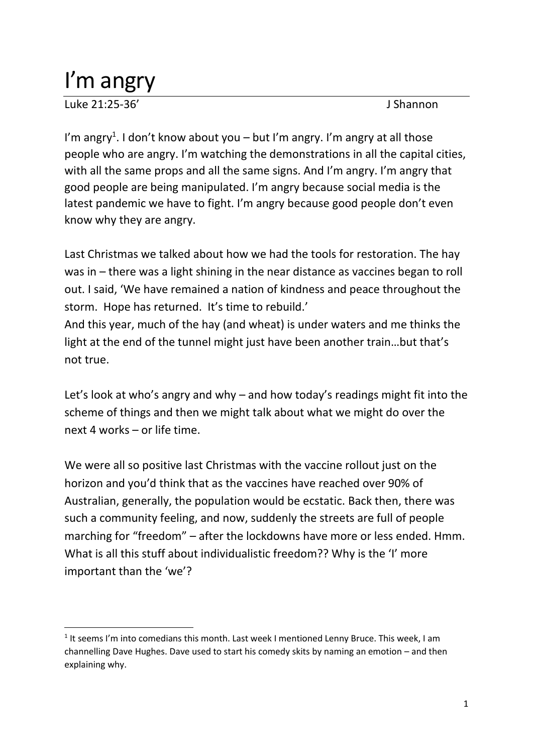## I'm angry

Luke 21:25-36' J Shannon

I'm angry<sup>1</sup>. I don't know about you – but I'm angry. I'm angry at all those people who are angry. I'm watching the demonstrations in all the capital cities, with all the same props and all the same signs. And I'm angry. I'm angry that good people are being manipulated. I'm angry because social media is the latest pandemic we have to fight. I'm angry because good people don't even know why they are angry.

Last Christmas we talked about how we had the tools for restoration. The hay was in – there was a light shining in the near distance as vaccines began to roll out. I said, 'We have remained a nation of kindness and peace throughout the storm. Hope has returned. It's time to rebuild.'

And this year, much of the hay (and wheat) is under waters and me thinks the light at the end of the tunnel might just have been another train…but that's not true.

Let's look at who's angry and why – and how today's readings might fit into the scheme of things and then we might talk about what we might do over the next 4 works – or life time.

We were all so positive last Christmas with the vaccine rollout just on the horizon and you'd think that as the vaccines have reached over 90% of Australian, generally, the population would be ecstatic. Back then, there was such a community feeling, and now, suddenly the streets are full of people marching for "freedom" – after the lockdowns have more or less ended. Hmm. What is all this stuff about individualistic freedom?? Why is the 'I' more important than the 'we'?

<sup>&</sup>lt;sup>1</sup> It seems I'm into comedians this month. Last week I mentioned Lenny Bruce. This week, I am channelling Dave Hughes. Dave used to start his comedy skits by naming an emotion – and then explaining why.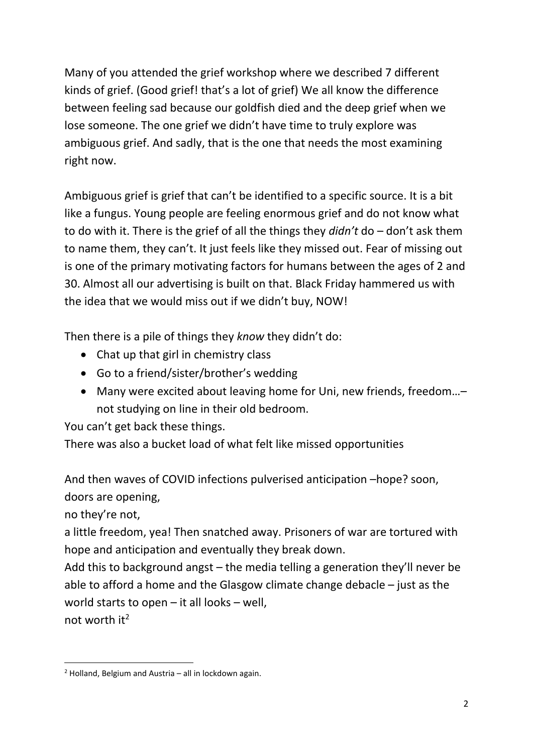Many of you attended the grief workshop where we described 7 different kinds of grief. (Good grief! that's a lot of grief) We all know the difference between feeling sad because our goldfish died and the deep grief when we lose someone. The one grief we didn't have time to truly explore was ambiguous grief. And sadly, that is the one that needs the most examining right now.

Ambiguous grief is grief that can't be identified to a specific source. It is a bit like a fungus. Young people are feeling enormous grief and do not know what to do with it. There is the grief of all the things they *didn't* do – don't ask them to name them, they can't. It just feels like they missed out. Fear of missing out is one of the primary motivating factors for humans between the ages of 2 and 30. Almost all our advertising is built on that. Black Friday hammered us with the idea that we would miss out if we didn't buy, NOW!

Then there is a pile of things they *know* they didn't do:

- Chat up that girl in chemistry class
- Go to a friend/sister/brother's wedding
- Many were excited about leaving home for Uni, new friends, freedom…– not studying on line in their old bedroom.

You can't get back these things.

There was also a bucket load of what felt like missed opportunities

And then waves of COVID infections pulverised anticipation –hope? soon, doors are opening,

no they're not,

a little freedom, yea! Then snatched away. Prisoners of war are tortured with hope and anticipation and eventually they break down.

Add this to background angst – the media telling a generation they'll never be able to afford a home and the Glasgow climate change debacle – just as the world starts to open – it all looks – well, not worth  $it^2$ 

 $2$  Holland, Belgium and Austria – all in lockdown again.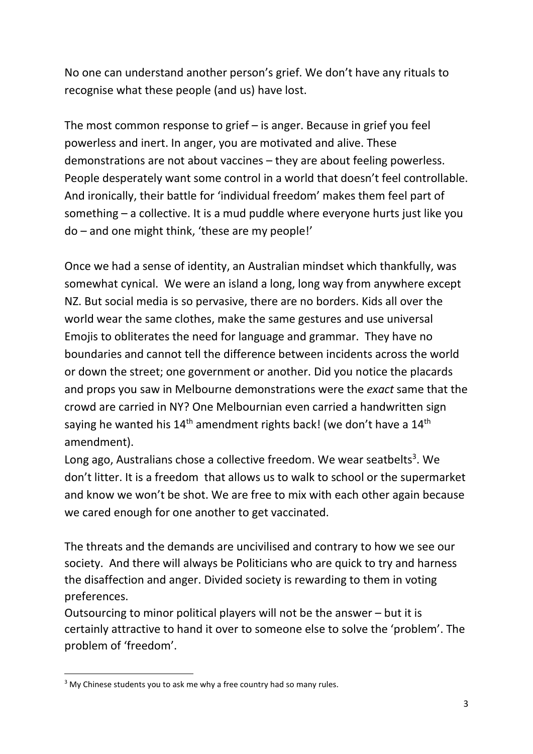No one can understand another person's grief. We don't have any rituals to recognise what these people (and us) have lost.

The most common response to grief – is anger. Because in grief you feel powerless and inert. In anger, you are motivated and alive. These demonstrations are not about vaccines – they are about feeling powerless. People desperately want some control in a world that doesn't feel controllable. And ironically, their battle for 'individual freedom' makes them feel part of something – a collective. It is a mud puddle where everyone hurts just like you do – and one might think, 'these are my people!'

Once we had a sense of identity, an Australian mindset which thankfully, was somewhat cynical. We were an island a long, long way from anywhere except NZ. But social media is so pervasive, there are no borders. Kids all over the world wear the same clothes, make the same gestures and use universal Emojis to obliterates the need for language and grammar. They have no boundaries and cannot tell the difference between incidents across the world or down the street; one government or another. Did you notice the placards and props you saw in Melbourne demonstrations were the *exact* same that the crowd are carried in NY? One Melbournian even carried a handwritten sign saying he wanted his  $14^{\text{th}}$  amendment rights back! (we don't have a  $14^{\text{th}}$ amendment).

Long ago, Australians chose a collective freedom. We wear seatbelts<sup>3</sup>. We don't litter. It is a freedom that allows us to walk to school or the supermarket and know we won't be shot. We are free to mix with each other again because we cared enough for one another to get vaccinated.

The threats and the demands are uncivilised and contrary to how we see our society. And there will always be Politicians who are quick to try and harness the disaffection and anger. Divided society is rewarding to them in voting preferences.

Outsourcing to minor political players will not be the answer – but it is certainly attractive to hand it over to someone else to solve the 'problem'. The problem of 'freedom'.

<sup>&</sup>lt;sup>3</sup> My Chinese students you to ask me why a free country had so many rules.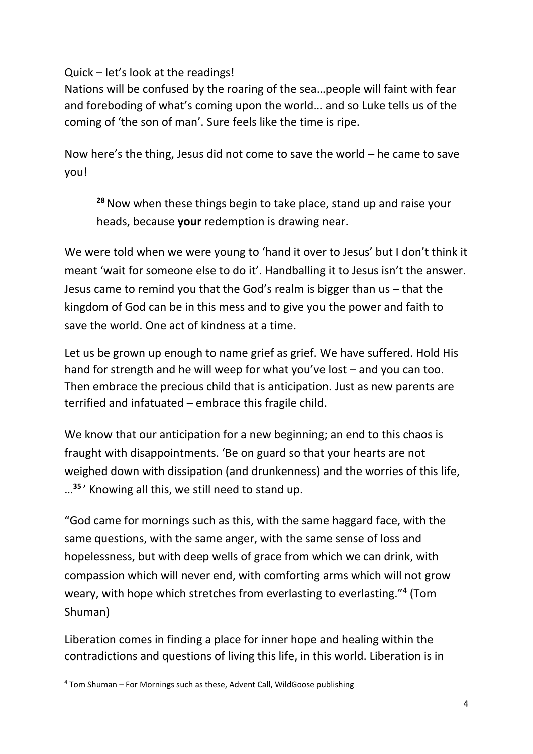Quick – let's look at the readings!

Nations will be confused by the roaring of the sea…people will faint with fear and foreboding of what's coming upon the world… and so Luke tells us of the coming of 'the son of man'. Sure feels like the time is ripe.

Now here's the thing, Jesus did not come to save the world – he came to save you!

**<sup>28</sup>**Now when these things begin to take place, stand up and raise your heads, because **your** redemption is drawing near.

We were told when we were young to 'hand it over to Jesus' but I don't think it meant 'wait for someone else to do it'. Handballing it to Jesus isn't the answer. Jesus came to remind you that the God's realm is bigger than us – that the kingdom of God can be in this mess and to give you the power and faith to save the world. One act of kindness at a time.

Let us be grown up enough to name grief as grief. We have suffered. Hold His hand for strength and he will weep for what you've lost – and you can too. Then embrace the precious child that is anticipation. Just as new parents are terrified and infatuated – embrace this fragile child.

We know that our anticipation for a new beginning; an end to this chaos is fraught with disappointments. 'Be on guard so that your hearts are not weighed down with dissipation (and drunkenness) and the worries of this life, … **35** ' Knowing all this, we still need to stand up.

"God came for mornings such as this, with the same haggard face, with the same questions, with the same anger, with the same sense of loss and hopelessness, but with deep wells of grace from which we can drink, with compassion which will never end, with comforting arms which will not grow weary, with hope which stretches from everlasting to everlasting."<sup>4</sup> (Tom Shuman)

Liberation comes in finding a place for inner hope and healing within the contradictions and questions of living this life, in this world. Liberation is in

<sup>4</sup> Tom Shuman – For Mornings such as these, Advent Call, WildGoose publishing